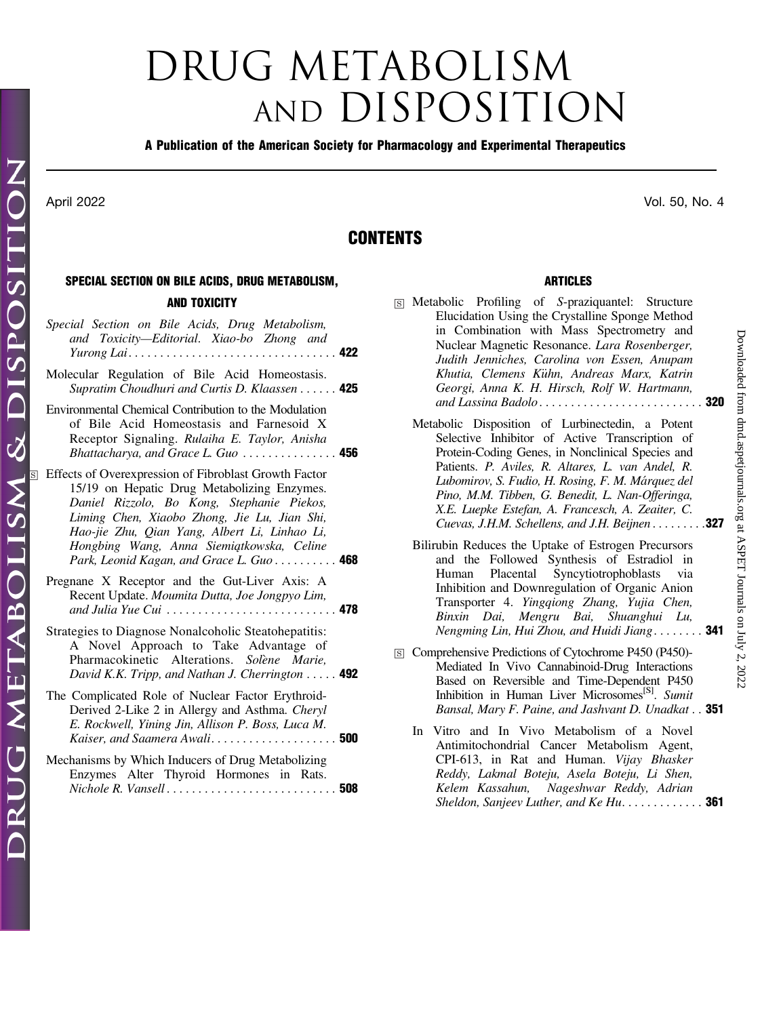# DRUG METABOLISM AND DISPOSITION

### A Publication of the American Society for Pharmacology and Experimental Therapeutics

# CONTENTS

# SPECIAL SECTION ON BILE ACIDS, DRUG METABOLISM,

## AND TOXICITY

|                         | Special Section on Bile Acids, Drug Metabolism,<br>and Toxicity-Editorial. Xiao-bo Zhong and<br><i>Yurong Lai</i> 422                                                                                                                                                                                                                        |  |
|-------------------------|----------------------------------------------------------------------------------------------------------------------------------------------------------------------------------------------------------------------------------------------------------------------------------------------------------------------------------------------|--|
|                         | Molecular Regulation of Bile Acid Homeostasis.<br>Supratim Choudhuri and Curtis D. Klaassen  425                                                                                                                                                                                                                                             |  |
|                         | Environmental Chemical Contribution to the Modulation<br>of Bile Acid Homeostasis and Farnesoid X<br>Receptor Signaling. Rulaiha E. Taylor, Anisha<br>Bhattacharya, and Grace L. Guo $\ldots \ldots \ldots \ldots$                                                                                                                           |  |
| $\overline{\mathbf{s}}$ | Effects of Overexpression of Fibroblast Growth Factor<br>15/19 on Hepatic Drug Metabolizing Enzymes.<br>Daniel Rizzolo, Bo Kong, Stephanie Piekos,<br>Liming Chen, Xiaobo Zhong, Jie Lu, Jian Shi,<br>Hao-jie Zhu, Qian Yang, Albert Li, Linhao Li,<br>Hongbing Wang, Anna Siemiątkowska, Celine<br>Park, Leonid Kagan, and Grace L. Guo 468 |  |
|                         | Pregnane X Receptor and the Gut-Liver Axis: A<br>Recent Update. Moumita Dutta, Joe Jongpyo Lim,<br>and Julia Yue Cui  478                                                                                                                                                                                                                    |  |
|                         | Strategies to Diagnose Nonalcoholic Steatohepatitis:<br>A Novel Approach to Take Advantage of<br>Pharmacokinetic Alterations. Solene Marie,<br>David K.K. Tripp, and Nathan J. Cherrington $\ldots$ . 492                                                                                                                                    |  |
|                         | The Complicated Role of Nuclear Factor Erythroid-<br>Derived 2-Like 2 in Allergy and Asthma. Cheryl<br>E. Rockwell, Yining Jin, Allison P. Boss, Luca M.<br>Kaiser, and Saamera Awali 500                                                                                                                                                    |  |
|                         | Mechanisms by Which Inducers of Drug Metabolizing<br>Enzymes Alter Thyroid Hormones in Rats.                                                                                                                                                                                                                                                 |  |

Nichole R. Vansell . . . . . . . . . . . . . . . . . . . . . . . . . . . 508

| S Metabolic Profiling of S-praziquantel: Structure<br>Elucidation Using the Crystalline Sponge Method<br>in Combination with Mass Spectrometry and<br>Nuclear Magnetic Resonance. Lara Rosenberger,<br>Judith Jenniches, Carolina von Essen, Anupam<br>Khutia, Clemens Kühn, Andreas Marx, Katrin<br>Georgi, Anna K. H. Hirsch, Rolf W. Hartmann,                                                                           |  |
|-----------------------------------------------------------------------------------------------------------------------------------------------------------------------------------------------------------------------------------------------------------------------------------------------------------------------------------------------------------------------------------------------------------------------------|--|
| Metabolic Disposition of Lurbinectedin, a Potent<br>Selective Inhibitor of Active Transcription of<br>Protein-Coding Genes, in Nonclinical Species and<br>Patients. P. Aviles, R. Altares, L. van Andel, R.<br>Lubomirov, S. Fudio, H. Rosing, F. M. Márquez del<br>Pino, M.M. Tibben, G. Benedit, L. Nan-Offeringa,<br>X.E. Luepke Estefan, A. Francesch, A. Zeaiter, C.<br>Cuevas, J.H.M. Schellens, and J.H. Beijnen 327 |  |
| Bilirubin Reduces the Uptake of Estrogen Precursors<br>and the Followed Synthesis of Estradiol in<br>Human Placental Syncytiotrophoblasts via<br>Inhibition and Downregulation of Organic Anion<br>Transporter 4. Yingqiong Zhang, Yujia Chen,<br>Binxin Dai, Mengru Bai, Shuanghui Lu,<br>Nengming Lin, Hui Zhou, and Huidi Jiang 341                                                                                      |  |

ARTICLES

- □<sup>S</sup> Comprehensive Predictions of Cytochrome P450 (P450)- Mediated In Vivo Cannabinoid-Drug Interactions Based on Reversible and Time-Dependent P450 Inhibition in Human Liver Microsomes<sup>[S]</sup>. Sumit Bansal, Mary F. Paine, and Jashvant D. Unadkat . . 351
	- In Vitro and In Vivo Metabolism of a Novel Antimitochondrial Cancer Metabolism Agent, CPI-613, in Rat and Human. Vijay Bhasker Reddy, Lakmal Boteju, Asela Boteju, Li Shen, Kelem Kassahun, Nageshwar Reddy, Adrian Sheldon, Sanjeev Luther, and  $Ke$  Hu.  $\ldots \ldots \ldots$  . 361

April 2022 Vol. 50, No. 4